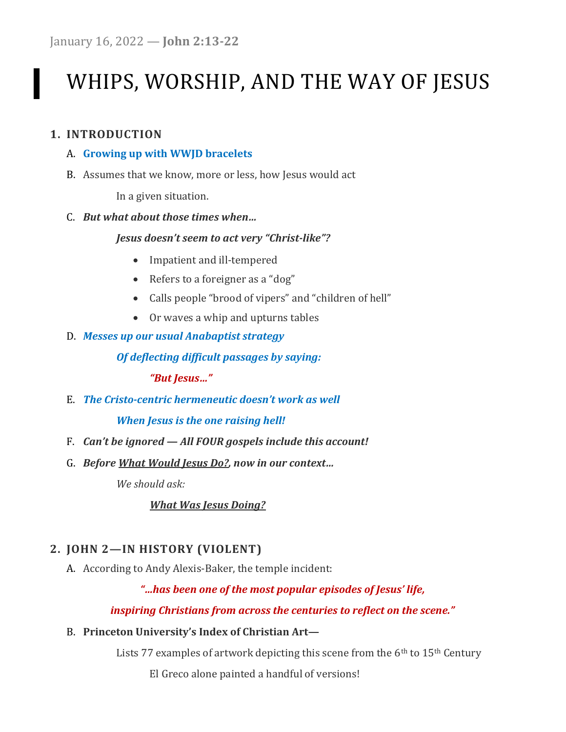# WHIPS, WORSHIP, AND THE WAY OF JESUS

## 1. INTRODUCTION

### A. Growing up with WWJD bracelets

B. Assumes that we know, more or less, how Jesus would act

In a given situation.

### C. But what about those times when…

## Jesus doesn't seem to act very "Christ-like"?

- Impatient and ill-tempered
- Refers to a foreigner as a "dog"
- Calls people "brood of vipers" and "children of hell"
- Or waves a whip and upturns tables
- D. Messes up our usual Anabaptist strategy

## Of deflecting difficult passages by saying:

"But Jesus…"

E. The Cristo-centric hermeneutic doesn't work as well

## When Jesus is the one raising hell!

- F. Can't be ignored All FOUR gospels include this account!
- G. Before What Would Jesus Do?, now in our context…

We should ask:

## What Was Jesus Doing?

# 2. JOHN 2—IN HISTORY (VIOLENT)

A. According to Andy Alexis-Baker, the temple incident:

## "…has been one of the most popular episodes of Jesus' life,

## inspiring Christians from across the centuries to reflect on the scene."

B. Princeton University's Index of Christian Art—

Lists 77 examples of artwork depicting this scene from the 6<sup>th</sup> to 15<sup>th</sup> Century

El Greco alone painted a handful of versions!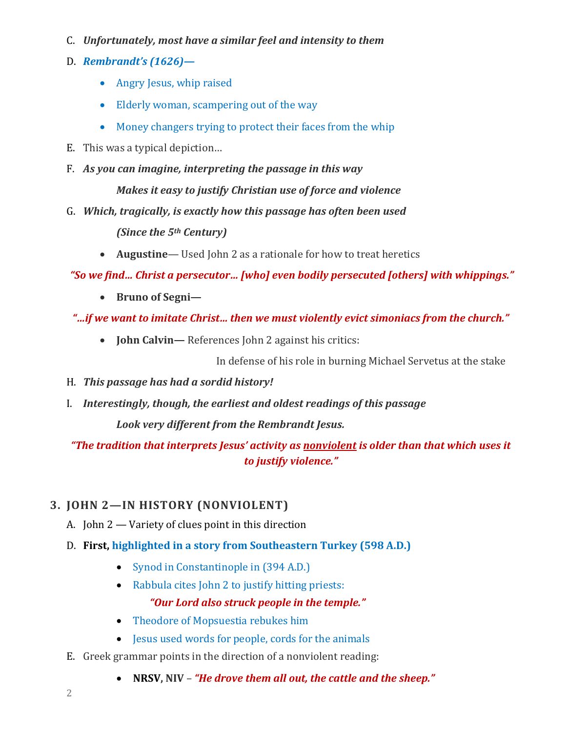- C. Unfortunately, most have a similar feel and intensity to them
- D. Rembrandt's (1626)—
	- Angry Jesus, whip raised
	- Elderly woman, scampering out of the way
	- Money changers trying to protect their faces from the whip
- E. This was a typical depiction…
- F. As you can imagine, interpreting the passage in this way

Makes it easy to justify Christian use of force and violence

- G. Which, tragically, is exactly how this passage has often been used (Since the 5<sup>th</sup> Century)
	- Augustine— Used John 2 as a rationale for how to treat heretics

"So we find… Christ a persecutor… [who] even bodily persecuted [others] with whippings."

- Bruno of Segni—
- "…if we want to imitate Christ… then we must violently evict simoniacs from the church."
	- **John Calvin** References John 2 against his critics:

In defense of his role in burning Michael Servetus at the stake

- H. This passage has had a sordid history!
- I. Interestingly, though, the earliest and oldest readings of this passage

Look very different from the Rembrandt Jesus.

"The tradition that interprets Jesus' activity as nonviolent is older than that which uses it to justify violence."

# 3. JOHN 2—IN HISTORY (NONVIOLENT)

- A. John 2 Variety of clues point in this direction
- D. First, highlighted in a story from Southeastern Turkey (598 A.D.)
	- Synod in Constantinople in (394 A.D.)
	- Rabbula cites John 2 to justify hitting priests: "Our Lord also struck people in the temple."
	- Theodore of Mopsuestia rebukes him
	- Jesus used words for people, cords for the animals
- E. Greek grammar points in the direction of a nonviolent reading:
	- NRSV, NIV "He drove them all out, the cattle and the sheep."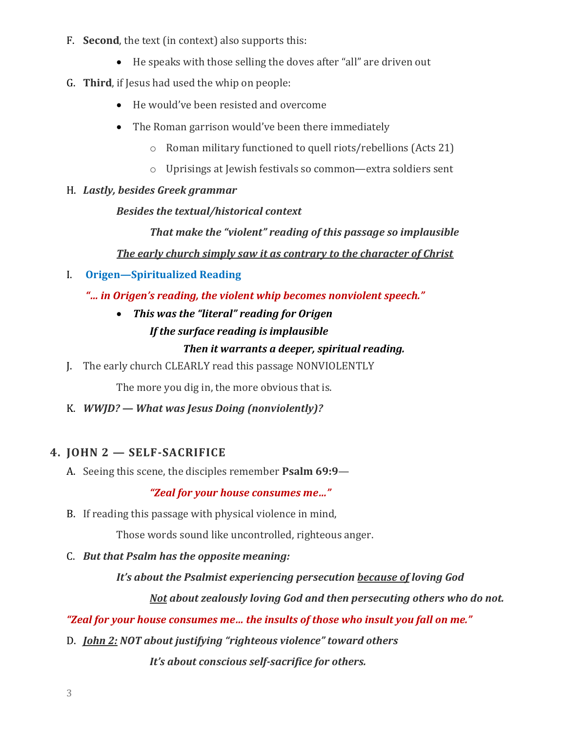- F. Second, the text (in context) also supports this:
	- He speaks with those selling the doves after "all" are driven out
- G. Third, if Jesus had used the whip on people:
	- He would've been resisted and overcome
	- The Roman garrison would've been there immediately
		- o Roman military functioned to quell riots/rebellions (Acts 21)
		- o Uprisings at Jewish festivals so common—extra soldiers sent
- H. Lastly, besides Greek grammar

Besides the textual/historical context

 That make the "violent" reading of this passage so implausible The early church simply saw it as contrary to the character of Christ

- I. Origen—Spiritualized Reading
	- "… in Origen's reading, the violent whip becomes nonviolent speech."
		- This was the "literal" reading for Origen If the surface reading is implausible

## Then it warrants a deeper, spiritual reading.

J. The early church CLEARLY read this passage NONVIOLENTLY

The more you dig in, the more obvious that is.

K. WWJD? — What was Jesus Doing (nonviolently)?

## 4. JOHN 2 — SELF-SACRIFICE

A. Seeing this scene, the disciples remember Psalm 69:9-

"Zeal for your house consumes me…"

B. If reading this passage with physical violence in mind,

Those words sound like uncontrolled, righteous anger.

C. But that Psalm has the opposite meaning:

It's about the Psalmist experiencing persecution because of loving God

Not about zealously loving God and then persecuting others who do not.

## "Zeal for your house consumes me… the insults of those who insult you fall on me."

D. *John 2: NOT about justifying "righteous violence" toward others* 

It's about conscious self-sacrifice for others.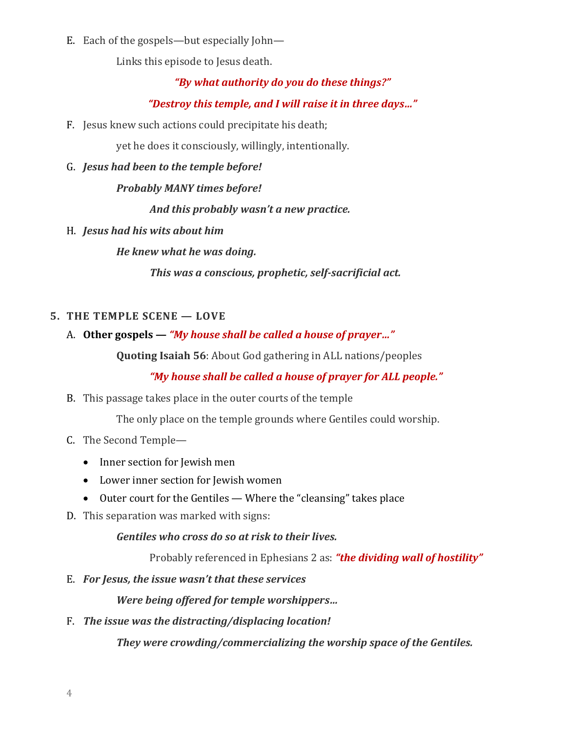E. Each of the gospels—but especially John—

Links this episode to Jesus death.

## "By what authority do you do these things?"

## "Destroy this temple, and I will raise it in three days…"

F. Jesus knew such actions could precipitate his death;

yet he does it consciously, willingly, intentionally.

G. Jesus had been to the temple before!

Probably MANY times before!

And this probably wasn't a new practice.

H. Jesus had his wits about him

He knew what he was doing.

This was a conscious, prophetic, self-sacrificial act.

## 5. THE TEMPLE SCENE — LOVE

## A. Other gospels — "My house shall be called a house of prayer..."

Quoting Isaiah 56: About God gathering in ALL nations/peoples

# "My house shall be called a house of prayer for ALL people."

B. This passage takes place in the outer courts of the temple

The only place on the temple grounds where Gentiles could worship.

- C. The Second Temple—
	- Inner section for Jewish men
	- Lower inner section for Jewish women
	- Outer court for the Gentiles Where the "cleansing" takes place
- D. This separation was marked with signs:

Gentiles who cross do so at risk to their lives.

Probably referenced in Ephesians 2 as: "the dividing wall of hostility"

E. For Jesus, the issue wasn't that these services

Were being offered for temple worshippers…

F. The issue was the distracting/displacing location!

They were crowding/commercializing the worship space of the Gentiles.